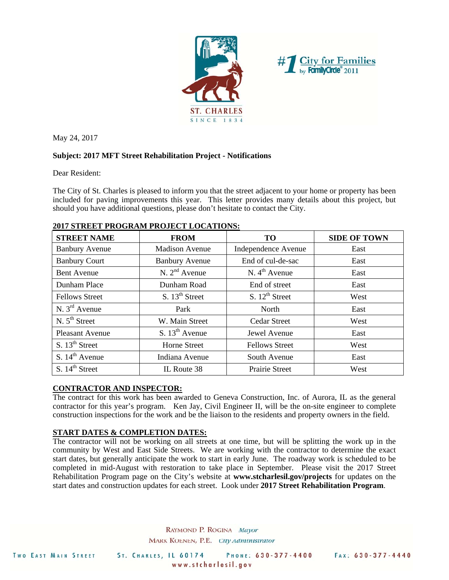



May 24, 2017

# **Subject: 2017 MFT Street Rehabilitation Project - Notifications**

Dear Resident:

The City of St. Charles is pleased to inform you that the street adjacent to your home or property has been included for paving improvements this year. This letter provides many details about this project, but should you have additional questions, please don't hesitate to contact the City.

| <b>STREET NAME</b>        | <b>FROM</b>                | <b>TO</b>                 | <b>SIDE OF TOWN</b> |
|---------------------------|----------------------------|---------------------------|---------------------|
| <b>Banbury Avenue</b>     | <b>Madison Avenue</b>      | Independence Avenue       | East                |
| <b>Banbury Court</b>      | <b>Banbury Avenue</b>      | End of cul-de-sac         | East                |
| <b>Bent Avenue</b>        | $N. 2nd$ Avenue            | N. $4^{\text{th}}$ Avenue | East                |
| Dunham Place              | Dunham Road                | End of street             | East                |
| <b>Fellows Street</b>     | S. $13th$ Street           | S. $12^{th}$ Street       | West                |
| N. $3^{\text{rd}}$ Avenue | Park                       | North                     | East                |
| N. $5^{\text{th}}$ Street | W. Main Street             | <b>Cedar Street</b>       | West                |
| <b>Pleasant Avenue</b>    | S. $13^{\text{th}}$ Avenue | Jewel Avenue              | East                |
| S. $13th$ Street          | <b>Horne Street</b>        | <b>Fellows Street</b>     | West                |
| S. $14th$ Avenue          | Indiana Avenue             | South Avenue              | East                |
| S. $14th$ Street          | IL Route 38                | <b>Prairie Street</b>     | West                |

## **2017 STREET PROGRAM PROJECT LOCATIONS:**

### **CONTRACTOR AND INSPECTOR:**

The contract for this work has been awarded to Geneva Construction, Inc. of Aurora, IL as the general contractor for this year's program. Ken Jay, Civil Engineer II, will be the on-site engineer to complete construction inspections for the work and be the liaison to the residents and property owners in the field.

### **START DATES & COMPLETION DATES:**

The contractor will not be working on all streets at one time, but will be splitting the work up in the community by West and East Side Streets. We are working with the contractor to determine the exact start dates, but generally anticipate the work to start in early June. The roadway work is scheduled to be completed in mid-August with restoration to take place in September. Please visit the 2017 Street Rehabilitation Program page on the City's website at **www.stcharlesil.gov/projects** for updates on the start dates and construction updates for each street. Look under **2017 Street Rehabilitation Program**.

> RAYMOND P. ROGINA Mayor MARK KOENEN, P.E. Ctty Administrator

ST. CHARLES, IL 60174 PHONE: 630-377-4400 www.stcharlesil.gov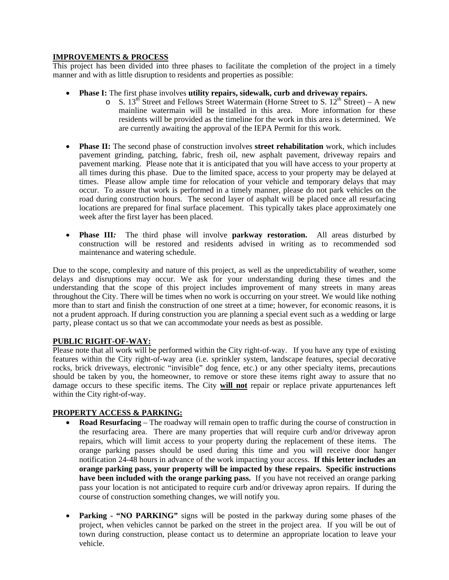### **IMPROVEMENTS & PROCESS**

This project has been divided into three phases to facilitate the completion of the project in a timely manner and with as little disruption to residents and properties as possible:

- **Phase I:** The first phase involves **utility repairs, sidewalk, curb and driveway repairs.**
	- $\circ$  S. 13<sup>th</sup> Street and Fellows Street Watermain (Horne Street to S. 12<sup>th</sup> Street) A new mainline watermain will be installed in this area. More information for these residents will be provided as the timeline for the work in this area is determined. We are currently awaiting the approval of the IEPA Permit for this work.
- **Phase II:** The second phase of construction involves **street rehabilitation** work, which includes pavement grinding, patching, fabric, fresh oil, new asphalt pavement, driveway repairs and pavement marking. Please note that it is anticipated that you will have access to your property at all times during this phase. Due to the limited space, access to your property may be delayed at times. Please allow ample time for relocation of your vehicle and temporary delays that may occur. To assure that work is performed in a timely manner, please do not park vehicles on the road during construction hours. The second layer of asphalt will be placed once all resurfacing locations are prepared for final surface placement. This typically takes place approximately one week after the first layer has been placed.
- **Phase III***:* The third phase will involve **parkway restoration.** All areas disturbed by construction will be restored and residents advised in writing as to recommended sod maintenance and watering schedule.

Due to the scope, complexity and nature of this project, as well as the unpredictability of weather, some delays and disruptions may occur. We ask for your understanding during these times and the understanding that the scope of this project includes improvement of many streets in many areas throughout the City. There will be times when no work is occurring on your street. We would like nothing more than to start and finish the construction of one street at a time; however, for economic reasons, it is not a prudent approach. If during construction you are planning a special event such as a wedding or large party, please contact us so that we can accommodate your needs as best as possible.

# **PUBLIC RIGHT-OF-WAY:**

Please note that all work will be performed within the City right-of-way. If you have any type of existing features within the City right-of-way area (i.e. sprinkler system, landscape features, special decorative rocks, brick driveways, electronic "invisible" dog fence, etc.) or any other specialty items, precautions should be taken by you, the homeowner, to remove or store these items right away to assure that no damage occurs to these specific items. The City **will not** repair or replace private appurtenances left within the City right-of-way.

# **PROPERTY ACCESS & PARKING:**

- **Road Resurfacing**  The roadway will remain open to traffic during the course of construction in the resurfacing area. There are many properties that will require curb and/or driveway apron repairs, which will limit access to your property during the replacement of these items. The orange parking passes should be used during this time and you will receive door hanger notification 24-48 hours in advance of the work impacting your access. **If this letter includes an orange parking pass, your property will be impacted by these repairs. Specific instructions have been included with the orange parking pass.** If you have not received an orange parking pass your location is not anticipated to require curb and/or driveway apron repairs. If during the course of construction something changes, we will notify you.
- **Parking "NO PARKING"** signs will be posted in the parkway during some phases of the project, when vehicles cannot be parked on the street in the project area. If you will be out of town during construction, please contact us to determine an appropriate location to leave your vehicle.